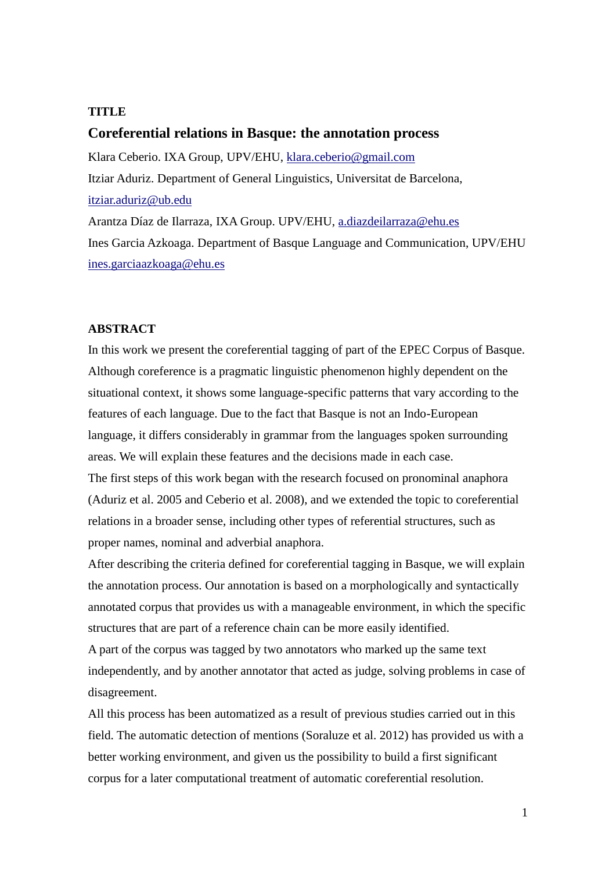# **TITLE**

# **Coreferential relations in Basque: the annotation process**

Klara Ceberio. IXA Group, UPV/EHU, [klara.ceberio@gmail.com](mailto:klara.ceberio@gmail.com) Itziar Aduriz. Department of General Linguistics, Universitat de Barcelona, [itziar.aduriz@ub.edu](mailto:itziar.aduriz@ub.edu) Arantza Díaz de Ilarraza, IXA Group. UPV/EHU, [a.diazdeilarraza@ehu.es](mailto:a.diazdeilarraza@ehu.es) Ines Garcia Azkoaga. Department of Basque Language and Communication, UPV/EHU

[ines.garciaazkoaga@ehu.es](mailto:ines.garciaazkoaga@ehu.es)

### **ABSTRACT**

In this work we present the coreferential tagging of part of the EPEC Corpus of Basque. Although coreference is a pragmatic linguistic phenomenon highly dependent on the situational context, it shows some language-specific patterns that vary according to the features of each language. Due to the fact that Basque is not an Indo-European language, it differs considerably in grammar from the languages spoken surrounding areas. We will explain these features and the decisions made in each case.

The first steps of this work began with the research focused on pronominal anaphora (Aduriz et al. 2005 and Ceberio et al. 2008), and we extended the topic to coreferential relations in a broader sense, including other types of referential structures, such as proper names, nominal and adverbial anaphora.

After describing the criteria defined for coreferential tagging in Basque, we will explain the annotation process. Our annotation is based on a morphologically and syntactically annotated corpus that provides us with a manageable environment, in which the specific structures that are part of a reference chain can be more easily identified.

A part of the corpus was tagged by two annotators who marked up the same text independently, and by another annotator that acted as judge, solving problems in case of disagreement.

All this process has been automatized as a result of previous studies carried out in this field. The automatic detection of mentions (Soraluze et al. 2012) has provided us with a better working environment, and given us the possibility to build a first significant corpus for a later computational treatment of automatic coreferential resolution.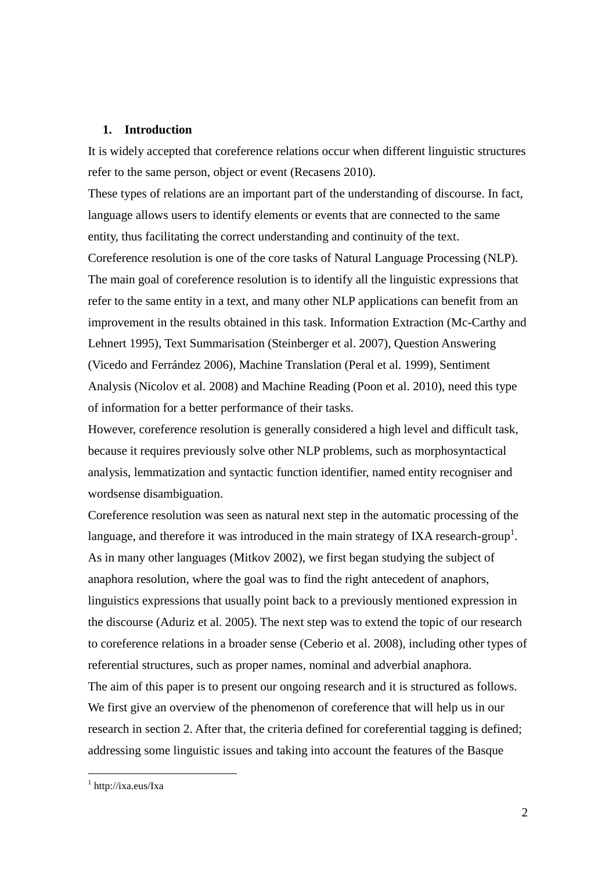## **1. Introduction**

It is widely accepted that coreference relations occur when different linguistic structures refer to the same person, object or event (Recasens 2010).

These types of relations are an important part of the understanding of discourse. In fact, language allows users to identify elements or events that are connected to the same entity, thus facilitating the correct understanding and continuity of the text.

Coreference resolution is one of the core tasks of Natural Language Processing (NLP). The main goal of coreference resolution is to identify all the linguistic expressions that refer to the same entity in a text, and many other NLP applications can benefit from an improvement in the results obtained in this task. Information Extraction (Mc-Carthy and Lehnert 1995), Text Summarisation (Steinberger et al. 2007), Question Answering (Vicedo and Ferrández 2006), Machine Translation (Peral et al. 1999), Sentiment Analysis (Nicolov et al. 2008) and Machine Reading (Poon et al. 2010), need this type of information for a better performance of their tasks.

However, coreference resolution is generally considered a high level and difficult task, because it requires previously solve other NLP problems, such as morphosyntactical analysis, lemmatization and syntactic function identifier, named entity recogniser and wordsense disambiguation.

Coreference resolution was seen as natural next step in the automatic processing of the language, and therefore it was introduced in the main strategy of IXA research-group<sup>1</sup>. As in many other languages (Mitkov 2002), we first began studying the subject of anaphora resolution, where the goal was to find the right antecedent of anaphors, linguistics expressions that usually point back to a previously mentioned expression in the discourse (Aduriz et al. 2005). The next step was to extend the topic of our research to coreference relations in a broader sense (Ceberio et al. 2008), including other types of referential structures, such as proper names, nominal and adverbial anaphora. The aim of this paper is to present our ongoing research and it is structured as follows. We first give an overview of the phenomenon of coreference that will help us in our research in section 2. After that, the criteria defined for coreferential tagging is defined; addressing some linguistic issues and taking into account the features of the Basque

1

<sup>1</sup> http://ixa.eus/Ixa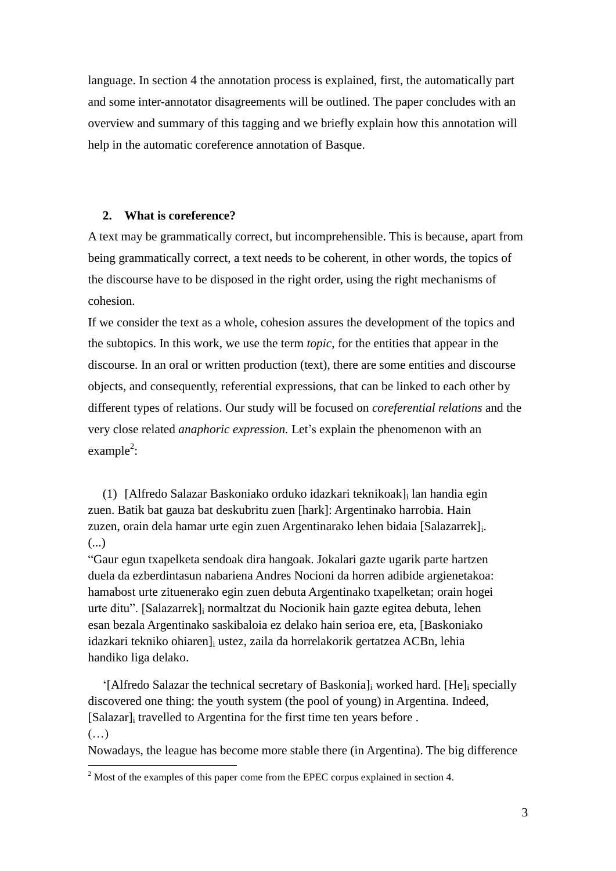language. In section 4 the annotation process is explained, first, the automatically part and some inter-annotator disagreements will be outlined. The paper concludes with an overview and summary of this tagging and we briefly explain how this annotation will help in the automatic coreference annotation of Basque.

# **2. What is coreference?**

A text may be grammatically correct, but incomprehensible. This is because, apart from being grammatically correct, a text needs to be coherent, in other words, the topics of the discourse have to be disposed in the right order, using the right mechanisms of cohesion.

If we consider the text as a whole, cohesion assures the development of the topics and the subtopics. In this work, we use the term *topic*, for the entities that appear in the discourse. In an oral or written production (text), there are some entities and discourse objects, and consequently, referential expressions, that can be linked to each other by different types of relations. Our study will be focused on *coreferential relations* and the very close related *anaphoric expression.* Let's explain the phenomenon with an  $example^2$ :

(1) [Alfredo Salazar Baskoniako orduko idazkari teknikoak]<sup>i</sup> lan handia egin zuen. Batik bat gauza bat deskubritu zuen [hark]: Argentinako harrobia. Hain zuzen, orain dela hamar urte egin zuen Argentinarako lehen bidaia [Salazarrek]<sub>i</sub>. (...)

"Gaur egun txapelketa sendoak dira hangoak. Jokalari gazte ugarik parte hartzen duela da ezberdintasun nabariena Andres Nocioni da horren adibide argienetakoa: hamabost urte zituenerako egin zuen debuta Argentinako txapelketan; orain hogei urte ditu". [Salazarrek]<sup>i</sup> normaltzat du Nocionik hain gazte egitea debuta, lehen esan bezala Argentinako saskibaloia ez delako hain serioa ere, eta, [Baskoniako idazkari tekniko ohiaren]<sup>i</sup> ustez, zaila da horrelakorik gertatzea ACBn, lehia handiko liga delako.

'[Alfredo Salazar the technical secretary of Baskonia]<sup>i</sup> worked hard. [He]<sup>i</sup> specially discovered one thing: the youth system (the pool of young) in Argentina. Indeed, [Salazar]<sup>i</sup> travelled to Argentina for the first time ten years before .  $(\ldots)$ 

Nowadays, the league has become more stable there (in Argentina). The big difference

<u>.</u>

<sup>&</sup>lt;sup>2</sup> Most of the examples of this paper come from the EPEC corpus explained in section 4.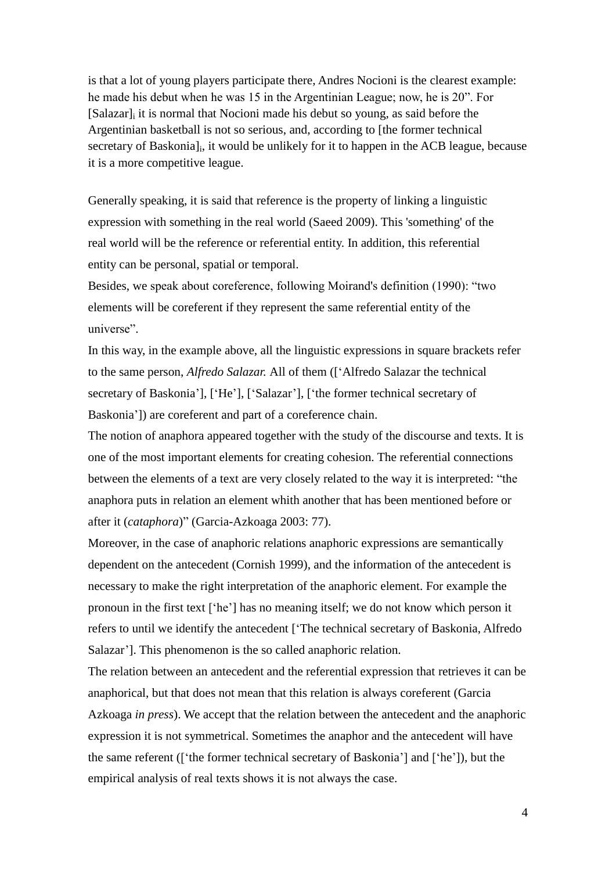is that a lot of young players participate there, Andres Nocioni is the clearest example: he made his debut when he was 15 in the Argentinian League; now, he is 20". For [Salazar]<sup>i</sup> it is normal that Nocioni made his debut so young, as said before the Argentinian basketball is not so serious, and, according to [the former technical secretary of Baskonia]<sub>i</sub>, it would be unlikely for it to happen in the ACB league, because it is a more competitive league.

Generally speaking, it is said that reference is the property of linking a linguistic expression with something in the real world (Saeed 2009). This 'something' of the real world will be the reference or referential entity. In addition, this referential entity can be personal, spatial or temporal.

Besides, we speak about coreference, following Moirand's definition (1990): "two elements will be coreferent if they represent the same referential entity of the universe".

In this way, in the example above, all the linguistic expressions in square brackets refer to the same person, *Alfredo Salazar.* All of them (['Alfredo Salazar the technical secretary of Baskonia'], ['He'], ['Salazar'], ['the former technical secretary of Baskonia']) are coreferent and part of a coreference chain.

The notion of anaphora appeared together with the study of the discourse and texts. It is one of the most important elements for creating cohesion. The referential connections between the elements of a text are very closely related to the way it is interpreted: "the anaphora puts in relation an element whith another that has been mentioned before or after it (*cataphora*)" (Garcia-Azkoaga 2003: 77).

Moreover, in the case of anaphoric relations anaphoric expressions are semantically dependent on the antecedent (Cornish 1999), and the information of the antecedent is necessary to make the right interpretation of the anaphoric element. For example the pronoun in the first text ['he'] has no meaning itself; we do not know which person it refers to until we identify the antecedent ['The technical secretary of Baskonia, Alfredo Salazar']. This phenomenon is the so called anaphoric relation.

The relation between an antecedent and the referential expression that retrieves it can be anaphorical, but that does not mean that this relation is always coreferent (Garcia Azkoaga *in press*). We accept that the relation between the antecedent and the anaphoric expression it is not symmetrical. Sometimes the anaphor and the antecedent will have the same referent (['the former technical secretary of Baskonia'] and ['he']), but the empirical analysis of real texts shows it is not always the case.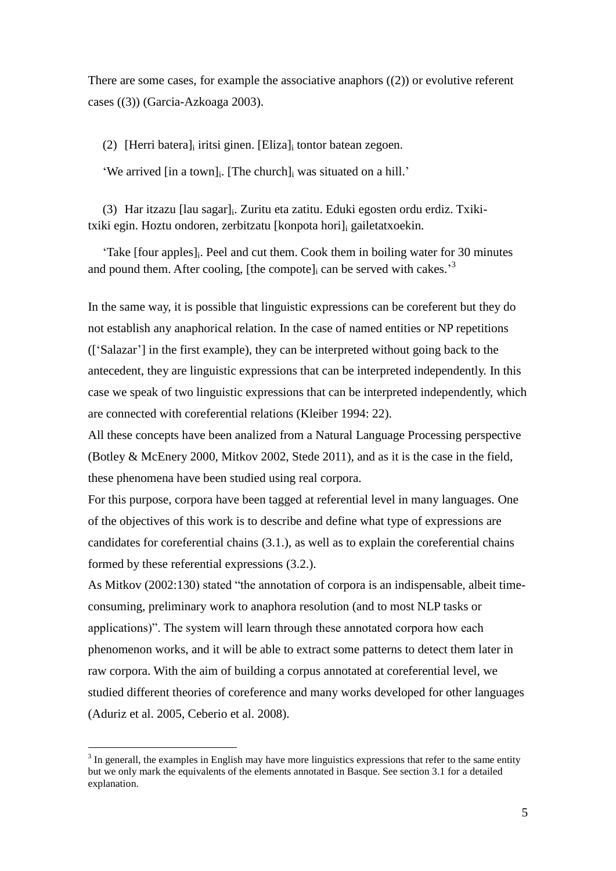There are some cases, for example the associative anaphors  $((2))$  or evolutive referent cases [\(\(3\)\)](#page-4-1) (Garcia-Azkoaga 2003).

<span id="page-4-0"></span>(2) [Herri batera]<sub>i</sub> iritsi ginen. [Eliza]<sub>i</sub> tontor batean zegoen.

'We arrived [in a town]<sup>i</sup> . [The church]<sup>i</sup> was situated on a hill.'

<span id="page-4-1"></span>(3) Har itzazu [lau sagar]<sup>i</sup> . Zuritu eta zatitu. Eduki egosten ordu erdiz. Txikitxiki egin. Hoztu ondoren, zerbitzatu [konpota hori]; gailetatxoekin.

'Take [four apples]<sup>i</sup> . Peel and cut them. Cook them in boiling water for 30 minutes and pound them. After cooling, [the compote] $_i$  can be served with cakes.<sup>3</sup>

In the same way, it is possible that linguistic expressions can be coreferent but they do not establish any anaphorical relation. In the case of named entities or NP repetitions (['Salazar'] in the first example), they can be interpreted without going back to the antecedent, they are linguistic expressions that can be interpreted independently. In this case we speak of two linguistic expressions that can be interpreted independently, which are connected with coreferential relations (Kleiber 1994: 22).

All these concepts have been analized from a Natural Language Processing perspective (Botley & McEnery 2000, Mitkov 2002, Stede 2011), and as it is the case in the field, these phenomena have been studied using real corpora.

For this purpose, corpora have been tagged at referential level in many languages. One of the objectives of this work is to describe and define what type of expressions are candidates for coreferential chains (3.1.), as well as to explain the coreferential chains formed by these referential expressions (3.2.).

As Mitkov (2002:130) stated "the annotation of corpora is an indispensable, albeit timeconsuming, preliminary work to anaphora resolution (and to most NLP tasks or applications)". The system will learn through these annotated corpora how each phenomenon works, and it will be able to extract some patterns to detect them later in raw corpora. With the aim of building a corpus annotated at coreferential level, we studied different theories of coreference and many works developed for other languages (Aduriz et al. 2005, Ceberio et al. 2008).

<u>.</u>

 $3$  In generall, the examples in English may have more linguistics expressions that refer to the same entity but we only mark the equivalents of the elements annotated in Basque. See section 3.1 for a detailed explanation.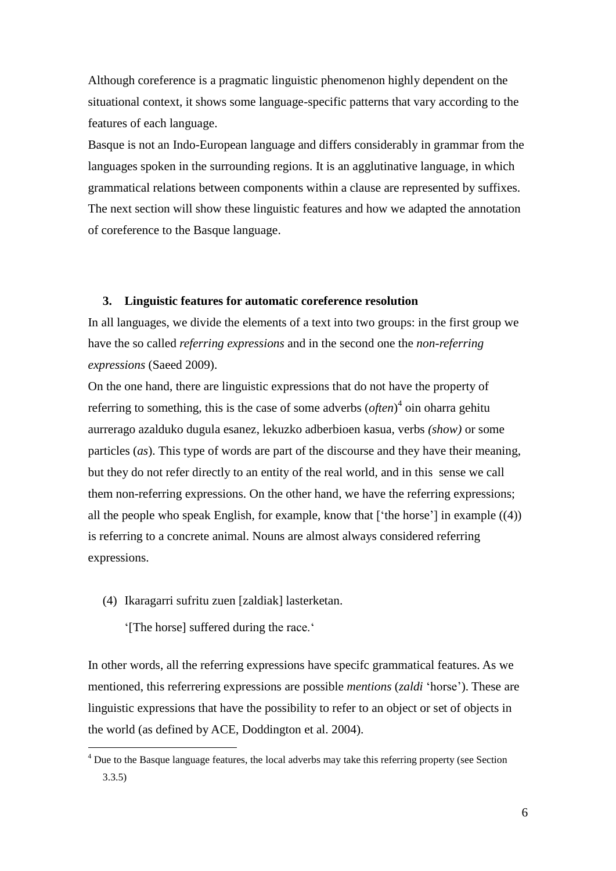Although coreference is a pragmatic linguistic phenomenon highly dependent on the situational context, it shows some language-specific patterns that vary according to the features of each language.

Basque is not an Indo-European language and differs considerably in grammar from the languages spoken in the surrounding regions. It is an agglutinative language, in which grammatical relations between components within a clause are represented by suffixes. The next section will show these linguistic features and how we adapted the annotation of coreference to the Basque language.

# **3. Linguistic features for automatic coreference resolution**

In all languages, we divide the elements of a text into two groups: in the first group we have the so called *referring expressions* and in the second one the *non-referring expressions* (Saeed 2009).

On the one hand, there are linguistic expressions that do not have the property of referring to something, this is the case of some adverbs (*often*) 4 oin oharra gehitu aurrerago azalduko dugula esanez, lekuzko adberbioen kasua*,* verbs *(show)* or some particles (*as*). This type of words are part of the discourse and they have their meaning, but they do not refer directly to an entity of the real world, and in this sense we call them non-referring expressions. On the other hand, we have the referring expressions; all the people who speak English, for example, know that  $[$  the horse'] in example  $((4))$ is referring to a concrete animal. Nouns are almost always considered referring expressions.

## <span id="page-5-0"></span>(4) Ikaragarri sufritu zuen [zaldiak] lasterketan.

'[The horse] suffered during the race.'

<u>.</u>

In other words, all the referring expressions have specifc grammatical features. As we mentioned, this referrering expressions are possible *mentions* (*zaldi* 'horse'). These are linguistic expressions that have the possibility to refer to an object or set of objects in the world (as defined by ACE, Doddington et al. 2004).

<sup>&</sup>lt;sup>4</sup> Due to the Basque language features, the local adverbs may take this referring property (see Section 3.3.5)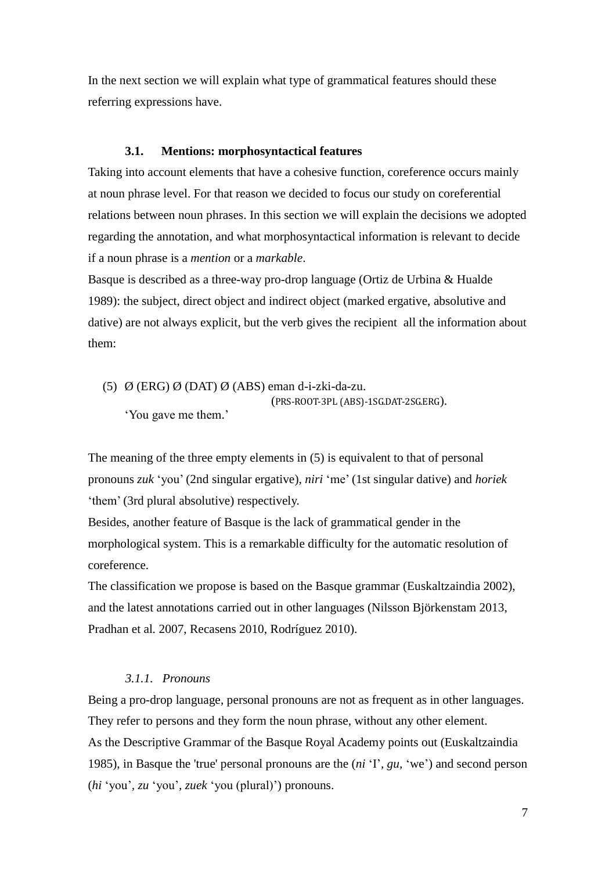In the next section we will explain what type of grammatical features should these referring expressions have.

# **3.1. Mentions: morphosyntactical features**

Taking into account elements that have a cohesive function, coreference occurs mainly at noun phrase level. For that reason we decided to focus our study on coreferential relations between noun phrases. In this section we will explain the decisions we adopted regarding the annotation, and what morphosyntactical information is relevant to decide if a noun phrase is a *mention* or a *markable*.

Basque is described as a three-way pro-drop language (Ortiz de Urbina & Hualde 1989): the subject, direct object and indirect object (marked ergative, absolutive and dative) are not always explicit, but the verb gives the recipient all the information about them:

(5) Ø (ERG) Ø (DAT) Ø (ABS) eman d-i-zki-da-zu. (PRS-ROOT-3PL (ABS)-1SG.DAT-2SG.ERG). 'You gave me them.'

The meaning of the three empty elements in (5) is equivalent to that of personal pronouns *zuk* 'you' (2nd singular ergative), *niri* 'me' (1st singular dative) and *horiek* 'them' (3rd plural absolutive) respectively.

Besides, another feature of Basque is the lack of grammatical gender in the morphological system. This is a remarkable difficulty for the automatic resolution of coreference.

The classification we propose is based on the Basque grammar (Euskaltzaindia 2002), and the latest annotations carried out in other languages (Nilsson Björkenstam 2013, Pradhan et al*.* 2007, Recasens 2010, Rodríguez 2010).

# *3.1.1. Pronouns*

Being a pro-drop language, personal pronouns are not as frequent as in other languages. They refer to persons and they form the noun phrase, without any other element. As the Descriptive Grammar of the Basque Royal Academy points out (Euskaltzaindia 1985), in Basque the 'true' personal pronouns are the (*ni* 'I'*, gu,* 'we') and second person (*hi* 'you'*, zu* 'you'*, zuek* 'you (plural)') pronouns.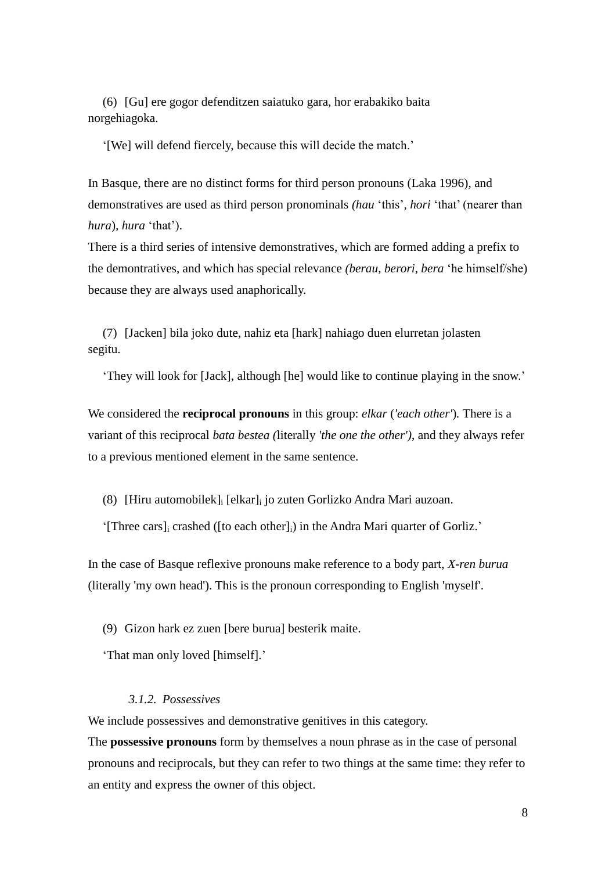(6) [Gu] ere gogor defenditzen saiatuko gara, hor erabakiko baita norgehiagoka.

'[We] will defend fiercely, because this will decide the match.'

In Basque, there are no distinct forms for third person pronouns (Laka 1996), and demonstratives are used as third person pronominals *(hau* 'this'*, hori* 'that' (nearer than *hura*)*, hura* 'that').

There is a third series of intensive demonstratives, which are formed adding a prefix to the demontratives, and which has special relevance *(berau, berori, bera* 'he himself/she) because they are always used anaphorically.

(7) [Jacken] bila joko dute, nahiz eta [hark] nahiago duen elurretan jolasten segitu.

'They will look for [Jack], although [he] would like to continue playing in the snow.'

We considered the **reciprocal pronouns** in this group: *elkar* (*'each other'*)*.* There is a variant of this reciprocal *bata bestea (*literally *'the one the other')*, and they always refer to a previous mentioned element in the same sentence.

(8) [Hiru automobilek]<sup>i</sup> [elkar]<sup>i</sup> jo zuten Gorlizko Andra Mari auzoan.

'[Three cars]<sup>i</sup> crashed ([to each other]i) in the Andra Mari quarter of Gorliz.'

In the case of Basque reflexive pronouns make reference to a body part, *X-ren burua*  (literally 'my own head'). This is the pronoun corresponding to English 'myself'.

(9) Gizon hark ez zuen [bere burua] besterik maite.

'That man only loved [himself].'

### *3.1.2. Possessives*

We include possessives and demonstrative genitives in this category.

The **possessive pronouns** form by themselves a noun phrase as in the case of personal pronouns and reciprocals, but they can refer to two things at the same time: they refer to an entity and express the owner of this object.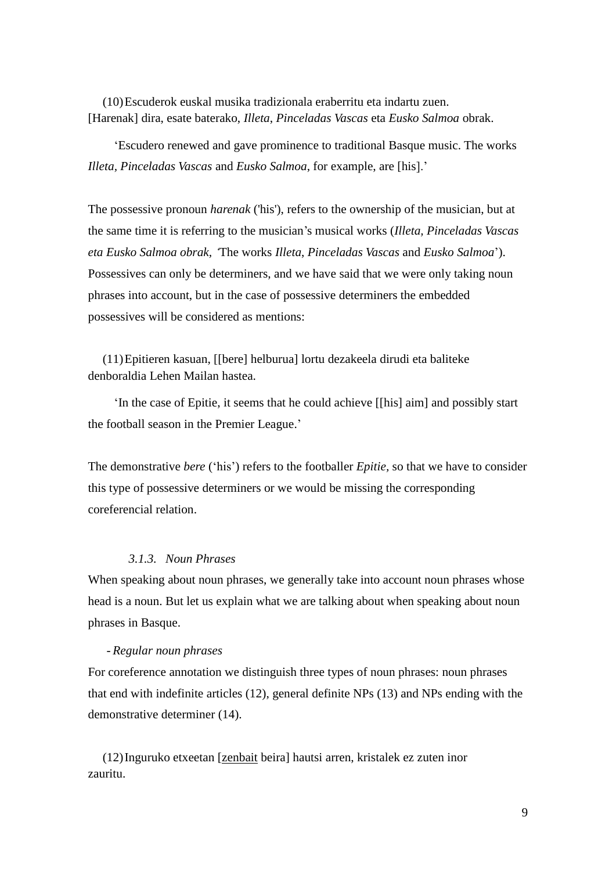(10)Escuderok euskal musika tradizionala eraberritu eta indartu zuen. [Harenak] dira, esate baterako, *Illeta*, *Pinceladas Vascas* eta *Eusko Salmoa* obrak.

'Escudero renewed and gave prominence to traditional Basque music. The works *Illeta, Pinceladas Vascas* and *Eusko Salmoa*, for example, are [his].'

The possessive pronoun *harenak* ('his'), refers to the ownership of the musician, but at the same time it is referring to the musician's musical works (*Illeta, Pinceladas Vascas eta Eusko Salmoa obrak, '*The works *Illeta*, *Pinceladas Vascas* and *Eusko Salmoa*'). Possessives can only be determiners, and we have said that we were only taking noun phrases into account, but in the case of possessive determiners the embedded possessives will be considered as mentions:

(11)Epitieren kasuan, [[bere] helburua] lortu dezakeela dirudi eta baliteke denboraldia Lehen Mailan hastea.

'In the case of Epitie, it seems that he could achieve [[his] aim] and possibly start the football season in the Premier League.'

The demonstrative *bere* ('his') refers to the footballer *Epitie,* so that we have to consider this type of possessive determiners or we would be missing the corresponding coreferencial relation.

### *3.1.3. Noun Phrases*

When speaking about noun phrases, we generally take into account noun phrases whose head is a noun. But let us explain what we are talking about when speaking about noun phrases in Basque.

### - *Regular noun phrases*

For coreference annotation we distinguish three types of noun phrases: noun phrases that end with indefinite articles (12), general definite NPs (13) and NPs ending with the demonstrative determiner (14).

(12)Inguruko etxeetan [zenbait beira] hautsi arren, kristalek ez zuten inor zauritu.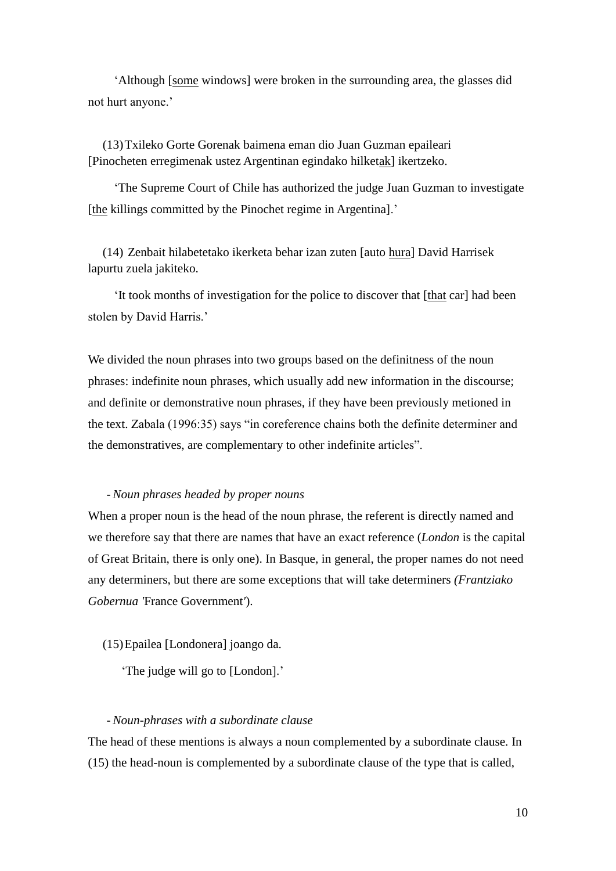'Although [some windows] were broken in the surrounding area, the glasses did not hurt anyone.'

(13)Txileko Gorte Gorenak baimena eman dio Juan Guzman epaileari [Pinocheten erregimenak ustez Argentinan egindako hilketak] ikertzeko.

'The Supreme Court of Chile has authorized the judge Juan Guzman to investigate [the killings committed by the Pinochet regime in Argentina].'

(14) Zenbait hilabetetako ikerketa behar izan zuten [auto hura] David Harrisek lapurtu zuela jakiteko.

'It took months of investigation for the police to discover that [that car] had been stolen by David Harris.'

We divided the noun phrases into two groups based on the definitness of the noun phrases: indefinite noun phrases, which usually add new information in the discourse; and definite or demonstrative noun phrases, if they have been previously metioned in the text. Zabala (1996:35) says "in coreference chains both the definite determiner and the demonstratives, are complementary to other indefinite articles".

## - *Noun phrases headed by proper nouns*

When a proper noun is the head of the noun phrase, the referent is directly named and we therefore say that there are names that have an exact reference (*London* is the capital of Great Britain, there is only one). In Basque, in general, the proper names do not need any determiners, but there are some exceptions that will take determiners *(Frantziako Gobernua '*France Government*'*).

(15)Epailea [Londonera] joango da.

'The judge will go to [London].'

### - *Noun-phrases with a subordinate clause*

The head of these mentions is always a noun complemented by a subordinate clause. In (15) the head-noun is complemented by a subordinate clause of the type that is called,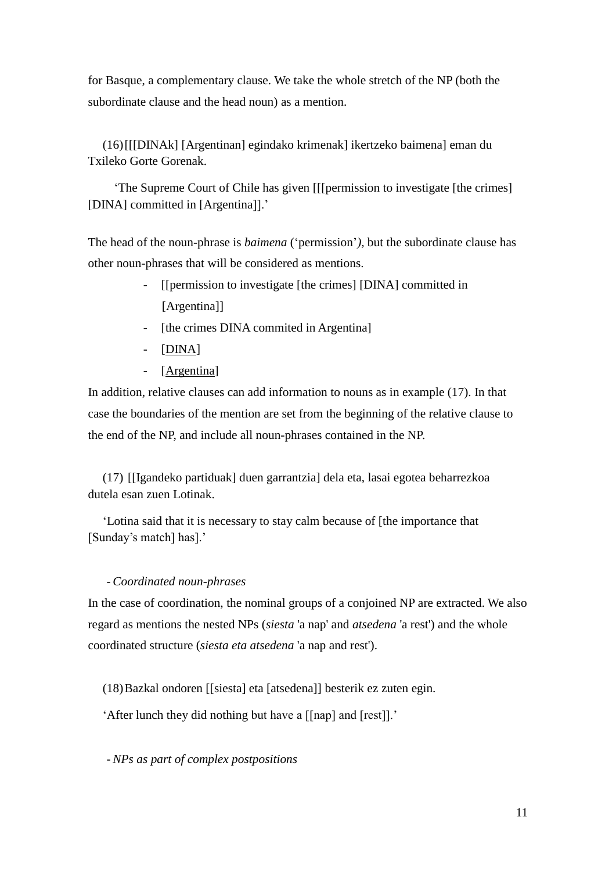for Basque, a complementary clause. We take the whole stretch of the NP (both the subordinate clause and the head noun) as a mention.

(16)[[[DINAk] [Argentinan] egindako krimenak] ikertzeko baimena] eman du Txileko Gorte Gorenak.

'The Supreme Court of Chile has given [[[permission to investigate [the crimes] [DINA] committed in [Argentina]].'

The head of the noun-phrase is *baimena* ('permission'*),* but the subordinate clause has other noun-phrases that will be considered as mentions.

- [[permission to investigate [the crimes] [DINA] committed in [Argentina]]
- [the crimes DINA commited in Argentina]
- [DINA]
- [Argentina]

In addition, relative clauses can add information to nouns as in example (17). In that case the boundaries of the mention are set from the beginning of the relative clause to the end of the NP, and include all noun-phrases contained in the NP.

(17) [[Igandeko partiduak] duen garrantzia] dela eta, lasai egotea beharrezkoa dutela esan zuen Lotinak.

'Lotina said that it is necessary to stay calm because of [the importance that [Sunday's match] has].'

# - *Coordinated noun-phrases*

In the case of coordination, the nominal groups of a conjoined NP are extracted. We also regard as mentions the nested NPs (*siesta* 'a nap' and *atsedena* 'a rest') and the whole coordinated structure (*siesta eta atsedena* 'a nap and rest').

(18)Bazkal ondoren [[siesta] eta [atsedena]] besterik ez zuten egin.

'After lunch they did nothing but have a [[nap] and [rest]].'

- *NPs as part of complex postpositions*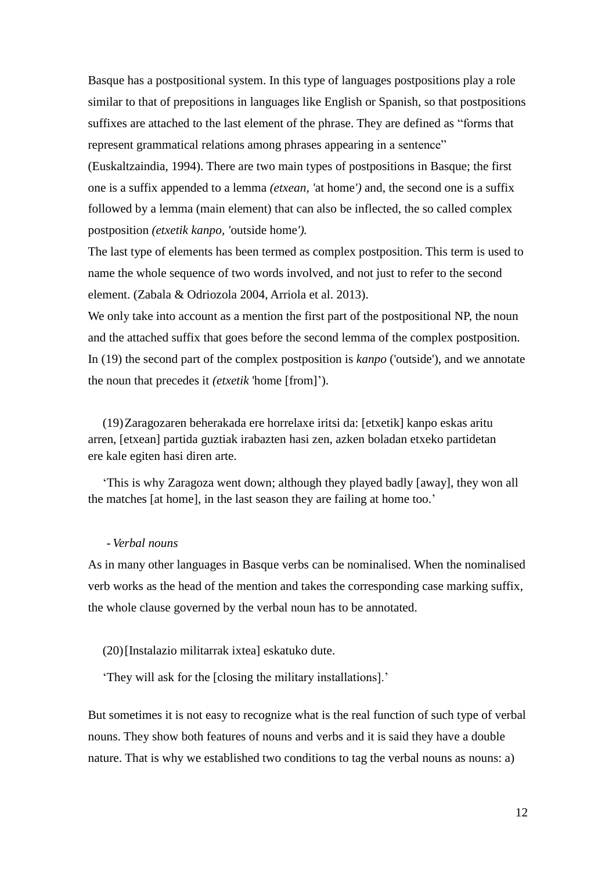Basque has a postpositional system. In this type of languages postpositions play a role similar to that of prepositions in languages like English or Spanish, so that postpositions suffixes are attached to the last element of the phrase. They are defined as "forms that represent grammatical relations among phrases appearing in a sentence"

(Euskaltzaindia, 1994). There are two main types of postpositions in Basque; the first one is a suffix appended to a lemma *(etxean, '*at home*')* and, the second one is a suffix followed by a lemma (main element) that can also be inflected, the so called complex postposition *(etxetik kanpo, '*outside home*').*

The last type of elements has been termed as complex postposition. This term is used to name the whole sequence of two words involved, and not just to refer to the second element. (Zabala & Odriozola 2004, Arriola et al. 2013).

We only take into account as a mention the first part of the postpositional NP, the noun and the attached suffix that goes before the second lemma of the complex postposition. In (19) the second part of the complex postposition is *kanpo* ('outside'), and we annotate the noun that precedes it *(etxetik* 'home [from]').

(19)Zaragozaren beherakada ere horrelaxe iritsi da: [etxetik] kanpo eskas aritu arren, [etxean] partida guztiak irabazten hasi zen, azken boladan etxeko partidetan ere kale egiten hasi diren arte.

'This is why Zaragoza went down; although they played badly [away], they won all the matches [at home], in the last season they are failing at home too.'

### - *Verbal nouns*

As in many other languages in Basque verbs can be nominalised. When the nominalised verb works as the head of the mention and takes the corresponding case marking suffix, the whole clause governed by the verbal noun has to be annotated.

### (20)[Instalazio militarrak ixtea] eskatuko dute.

'They will ask for the [closing the military installations].'

But sometimes it is not easy to recognize what is the real function of such type of verbal nouns. They show both features of nouns and verbs and it is said they have a double nature. That is why we established two conditions to tag the verbal nouns as nouns: a)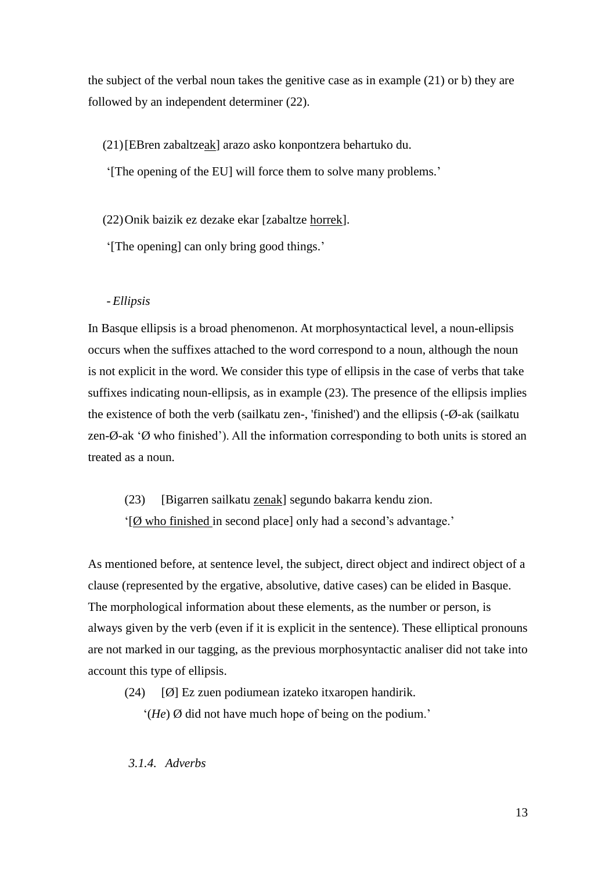the subject of the verbal noun takes the genitive case as in example (21) or b) they are followed by an independent determiner (22).

(21)[EBren zabaltzeak] arazo asko konpontzera behartuko du.

'[The opening of the EU] will force them to solve many problems.'

(22)Onik baizik ez dezake ekar [zabaltze horrek].

'[The opening] can only bring good things.'

# - *Ellipsis*

In Basque ellipsis is a broad phenomenon. At morphosyntactical level, a noun-ellipsis occurs when the suffixes attached to the word correspond to a noun, although the noun is not explicit in the word. We consider this type of ellipsis in the case of verbs that take suffixes indicating noun-ellipsis, as in example (23). The presence of the ellipsis implies the existence of both the verb (sailkatu zen-, 'finished') and the ellipsis (-Ø-ak (sailkatu zen-Ø-ak 'Ø who finished'). All the information corresponding to both units is stored an treated as a noun.

(23) [Bigarren sailkatu zenak] segundo bakarra kendu zion.

'[Ø who finished in second place] only had a second's advantage.'

As mentioned before, at sentence level, the subject, direct object and indirect object of a clause (represented by the ergative, absolutive, dative cases) can be elided in Basque. The morphological information about these elements, as the number or person, is always given by the verb (even if it is explicit in the sentence). These elliptical pronouns are not marked in our tagging, as the previous morphosyntactic analiser did not take into account this type of ellipsis.

(24)  $\lceil \emptyset \rceil$  Ez zuen podiumean izateko itxaropen handirik.

'(*He*) Ø did not have much hope of being on the podium.'

*3.1.4. Adverbs*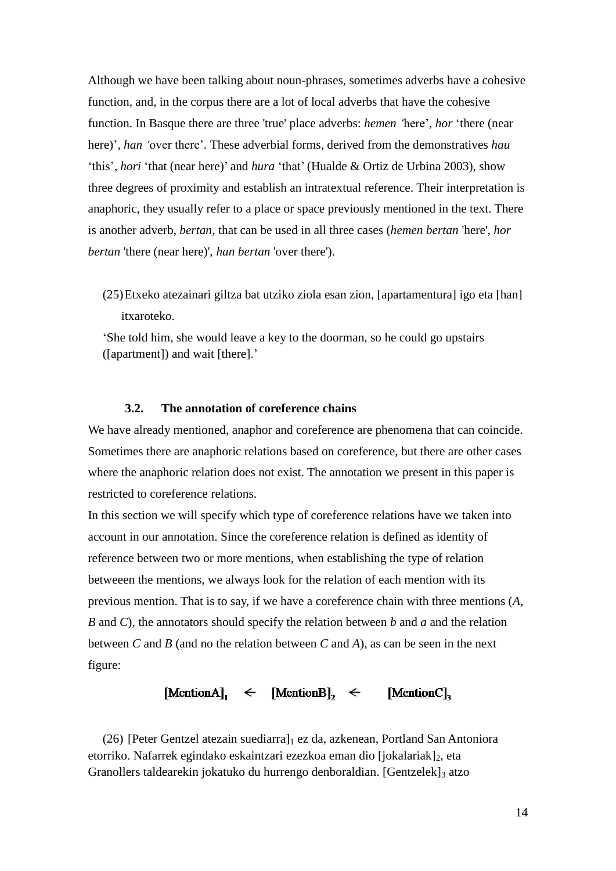Although we have been talking about noun-phrases, sometimes adverbs have a cohesive function, and, in the corpus there are a lot of local adverbs that have the cohesive function. In Basque there are three 'true' place adverbs: *hemen '*here', *hor* 'there (near here)', *han '*over there'. These adverbial forms, derived from the demonstratives *hau* 'this', *hori* 'that (near here)' and *hura* 'that' (Hualde & Ortiz de Urbina 2003), show three degrees of proximity and establish an intratextual reference. Their interpretation is anaphoric, they usually refer to a place or space previously mentioned in the text. There is another adverb, *bertan*, that can be used in all three cases (*hemen bertan* 'here', *hor bertan* 'there (near here)', *han bertan* 'over there').

(25)Etxeko atezainari giltza bat utziko ziola esan zion, [apartamentura] igo eta [han] itxaroteko.

'She told him, she would leave a key to the doorman, so he could go upstairs ([apartment]) and wait [there].'

# **3.2. The annotation of coreference chains**

We have already mentioned, anaphor and coreference are phenomena that can coincide. Sometimes there are anaphoric relations based on coreference, but there are other cases where the anaphoric relation does not exist. The annotation we present in this paper is restricted to coreference relations.

In this section we will specify which type of coreference relations have we taken into account in our annotation. Since the coreference relation is defined as identity of reference between two or more mentions, when establishing the type of relation betweeen the mentions, we always look for the relation of each mention with its previous mention. That is to say, if we have a coreference chain with three mentions (*A*, *B* and *C*), the annotators should specify the relation between *b* and *a* and the relation between *C* and *B* (and no the relation between *C* and *A*), as can be seen in the next figure:

# [MentionA],  $\leftarrow$  [MentionB],  $\leftarrow$  [MentionC],

(26) [Peter Gentzel atezain suediarra] $<sub>1</sub>$  ez da, azkenean, Portland San Antoniora</sub> etorriko. Nafarrek egindako eskaintzari ezezkoa eman dio [jokalariak]2, eta Granollers taldearekin jokatuko du hurrengo denboraldian. [Gentzelek]3 atzo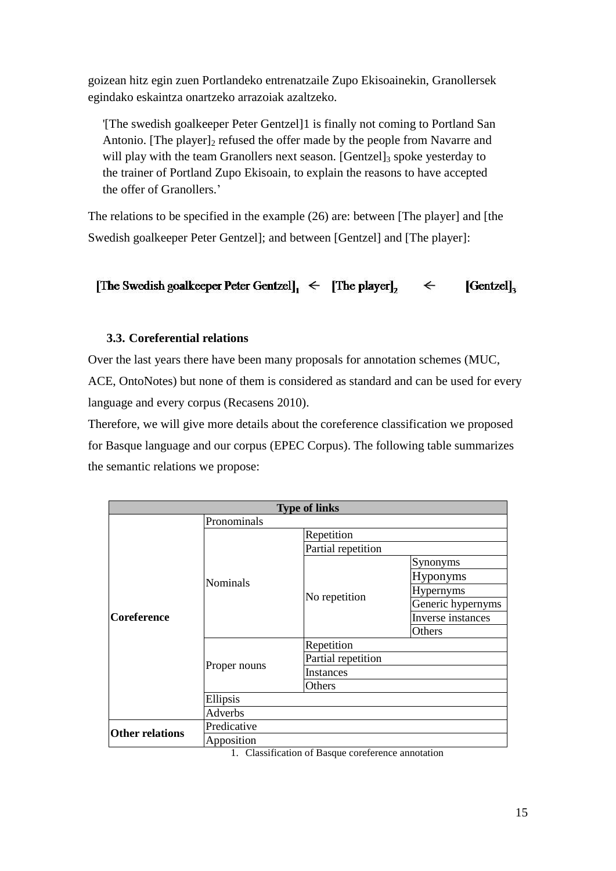goizean hitz egin zuen Portlandeko entrenatzaile Zupo Ekisoainekin, Granollersek egindako eskaintza onartzeko arrazoiak azaltzeko.

'[The swedish goalkeeper Peter Gentzel]1 is finally not coming to Portland San Antonio. [The player] $_2$  refused the offer made by the people from Navarre and will play with the team Granollers next season.  $[Gentzel]_3$  spoke yesterday to the trainer of Portland Zupo Ekisoain, to explain the reasons to have accepted the offer of Granollers.'

The relations to be specified in the example (26) are: between [The player] and [the Swedish goalkeeper Peter Gentzel]; and between [Gentzel] and [The player]:

[The Swedish goalkeeper Peter Gentzel],  $\leq$  [The player]<sub>2</sub>  $\lceil$ Gentzel $\rceil$ <sub>3</sub>  $\leftarrow$ 

# **3.3. Coreferential relations**

Over the last years there have been many proposals for annotation schemes (MUC, ACE, OntoNotes) but none of them is considered as standard and can be used for every language and every corpus (Recasens 2010).

Therefore, we will give more details about the coreference classification we proposed for Basque language and our corpus (EPEC Corpus). The following table summarizes the semantic relations we propose:

| <b>Type of links</b>   |                |                    |                   |
|------------------------|----------------|--------------------|-------------------|
|                        | Pronominals    |                    |                   |
| <b>Coreference</b>     | Nominals       | Repetition         |                   |
|                        |                | Partial repetition |                   |
|                        |                | No repetition      | Synonyms          |
|                        |                |                    | <b>Hyponyms</b>   |
|                        |                |                    | Hypernyms         |
|                        |                |                    | Generic hypernyms |
|                        |                |                    | Inverse instances |
|                        |                |                    | Others            |
|                        | Proper nouns   | Repetition         |                   |
|                        |                | Partial repetition |                   |
|                        |                | <b>Instances</b>   |                   |
|                        |                | Others             |                   |
|                        | Ellipsis       |                    |                   |
|                        | <b>Adverbs</b> |                    |                   |
| <b>Other relations</b> | Predicative    |                    |                   |
|                        | Apposition     |                    |                   |

1. Classification of Basque coreference annotation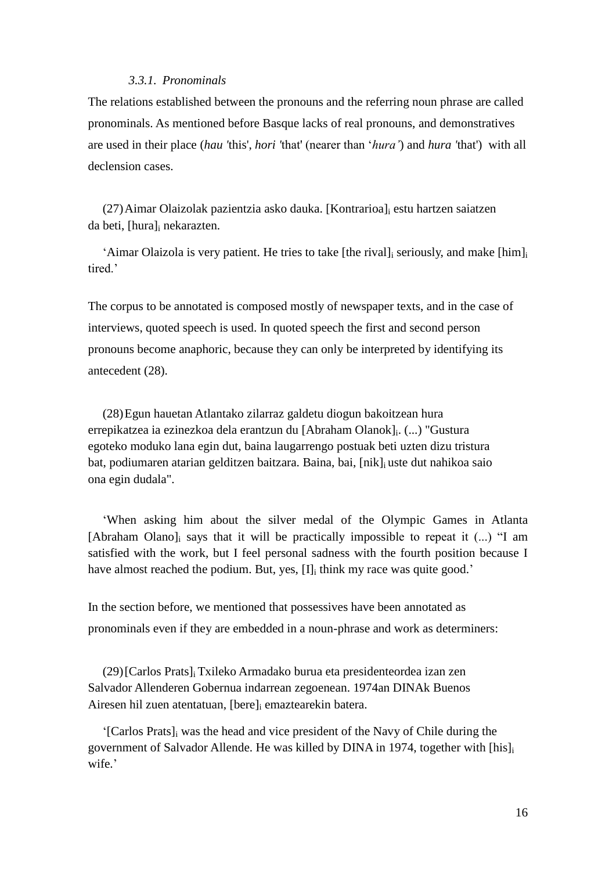## *3.3.1. Pronominals*

The relations established between the pronouns and the referring noun phrase are called pronominals. As mentioned before Basque lacks of real pronouns, and demonstratives are used in their place (*hau '*this', *hori '*that' (nearer than '*hura'*) and *hura '*that') with all declension cases.

(27)Aimar Olaizolak pazientzia asko dauka. [Kontrarioa]<sup>i</sup> estu hartzen saiatzen da beti, [hura]<sup>i</sup> nekarazten.

'Aimar Olaizola is very patient. He tries to take [the rival]<sup>i</sup> seriously, and make [him]<sup>i</sup> tired.

The corpus to be annotated is composed mostly of newspaper texts, and in the case of interviews, quoted speech is used. In quoted speech the first and second person pronouns become anaphoric, because they can only be interpreted by identifying its antecedent (28).

(28)Egun hauetan Atlantako zilarraz galdetu diogun bakoitzean hura errepikatzea ia ezinezkoa dela erantzun du [Abraham Olanok]<sub>i</sub>. (...) "Gustura egoteko moduko lana egin dut, baina laugarrengo postuak beti uzten dizu tristura bat, podiumaren atarian gelditzen baitzara. Baina, bai, [nik]<sup>i</sup> uste dut nahikoa saio ona egin dudala".

'When asking him about the silver medal of the Olympic Games in Atlanta [Abraham Olano]<sup>i</sup> says that it will be practically impossible to repeat it (...) "I am satisfied with the work, but I feel personal sadness with the fourth position because I have almost reached the podium. But, yes, [I]<sub>i</sub> think my race was quite good.'

In the section before, we mentioned that possessives have been annotated as pronominals even if they are embedded in a noun-phrase and work as determiners:

(29)[Carlos Prats]<sup>i</sup> Txileko Armadako burua eta presidenteordea izan zen Salvador Allenderen Gobernua indarrean zegoenean. 1974an DINAk Buenos Airesen hil zuen atentatuan, [bere]; emaztearekin batera.

'[Carlos Prats]<sup>i</sup> was the head and vice president of the Navy of Chile during the government of Salvador Allende. He was killed by DINA in 1974, together with [his]<sup>i</sup> wife.'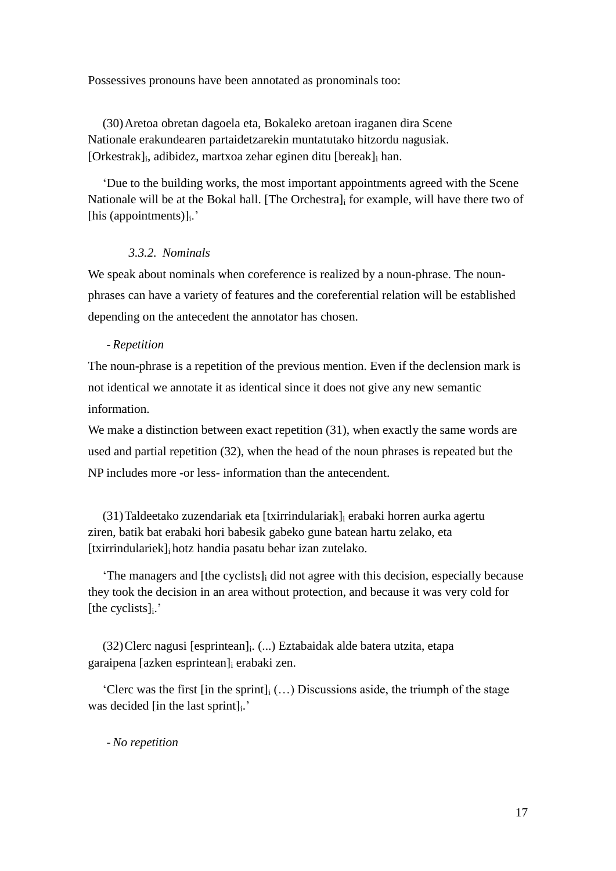Possessives pronouns have been annotated as pronominals too:

(30)Aretoa obretan dagoela eta, Bokaleko aretoan iraganen dira Scene Nationale erakundearen partaidetzarekin muntatutako hitzordu nagusiak. [Orkestrak]<sup>i</sup> , adibidez, martxoa zehar eginen ditu [bereak]<sup>i</sup> han.

'Due to the building works, the most important appointments agreed with the Scene Nationale will be at the Bokal hall. [The Orchestra], for example, will have there two of [his (appointments)]<sub>i</sub>.'

# *3.3.2. Nominals*

We speak about nominals when coreference is realized by a noun-phrase. The nounphrases can have a variety of features and the coreferential relation will be established depending on the antecedent the annotator has chosen.

# - *Repetition*

The noun-phrase is a repetition of the previous mention. Even if the declension mark is not identical we annotate it as identical since it does not give any new semantic information.

We make a distinction between exact repetition (31), when exactly the same words are used and partial repetition (32), when the head of the noun phrases is repeated but the NP includes more -or less- information than the antecendent.

(31)Taldeetako zuzendariak eta [txirrindulariak]<sup>i</sup> erabaki horren aurka agertu ziren, batik bat erabaki hori babesik gabeko gune batean hartu zelako, eta [txirrindulariek]i hotz handia pasatu behar izan zutelako.

'The managers and [the cyclists]<sup>i</sup> did not agree with this decision, especially because they took the decision in an area without protection, and because it was very cold for [the cyclists]<sub>i</sub>.'

(32)Clerc nagusi [esprintean]<sup>i</sup> . (...) Eztabaidak alde batera utzita, etapa garaipena [azken esprintean]<sup>i</sup> erabaki zen.

'Clerc was the first [in the sprint] $_i$  (...) Discussions aside, the triumph of the stage was decided [in the last sprint]<sub>i</sub>.'

- *No repetition*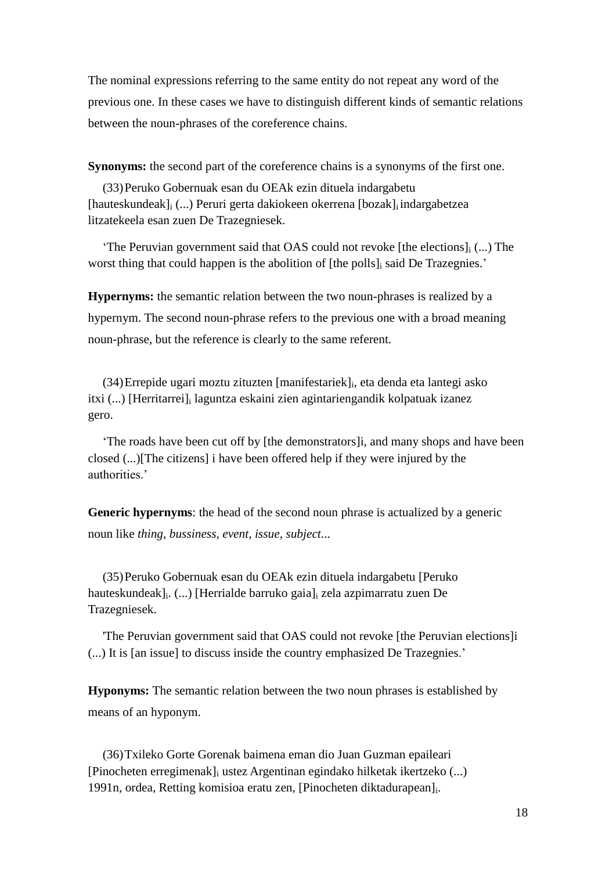The nominal expressions referring to the same entity do not repeat any word of the previous one. In these cases we have to distinguish different kinds of semantic relations between the noun-phrases of the coreference chains.

**Synonyms:** the second part of the coreference chains is a synonyms of the first one.

(33)Peruko Gobernuak esan du OEAk ezin dituela indargabetu [hauteskundeak]<sup>i</sup> (...) Peruri gerta dakiokeen okerrena [bozak]<sup>i</sup> indargabetzea litzatekeela esan zuen De Trazegniesek.

'The Peruvian government said that OAS could not revoke [the elections] $_i$  (...) The worst thing that could happen is the abolition of [the polls] said De Trazegnies.'

**Hypernyms:** the semantic relation between the two noun-phrases is realized by a hypernym. The second noun-phrase refers to the previous one with a broad meaning noun-phrase, but the reference is clearly to the same referent.

(34)Errepide ugari moztu zituzten [manifestariek]<sup>i</sup> , eta denda eta lantegi asko itxi (...) [Herritarrei]<sup>i</sup> laguntza eskaini zien agintariengandik kolpatuak izanez gero.

'The roads have been cut off by [the demonstrators]i, and many shops and have been closed (...)[The citizens] i have been offered help if they were injured by the authorities.'

**Generic hypernyms**: the head of the second noun phrase is actualized by a generic noun like *thing*, *bussiness*, *event, issue, subject*...

(35)Peruko Gobernuak esan du OEAk ezin dituela indargabetu [Peruko hauteskundeak]<sup>i</sup> . (...) [Herrialde barruko gaia]<sup>i</sup> zela azpimarratu zuen De Trazegniesek.

'The Peruvian government said that OAS could not revoke [the Peruvian elections]i (...) It is [an issue] to discuss inside the country emphasized De Trazegnies.'

**Hyponyms:** The semantic relation between the two noun phrases is established by means of an hyponym.

(36)Txileko Gorte Gorenak baimena eman dio Juan Guzman epaileari [Pinocheten erregimenak]<sup>i</sup> ustez Argentinan egindako hilketak ikertzeko (...) 1991n, ordea, Retting komisioa eratu zen, [Pinocheten diktadurapean]<sub>i</sub>.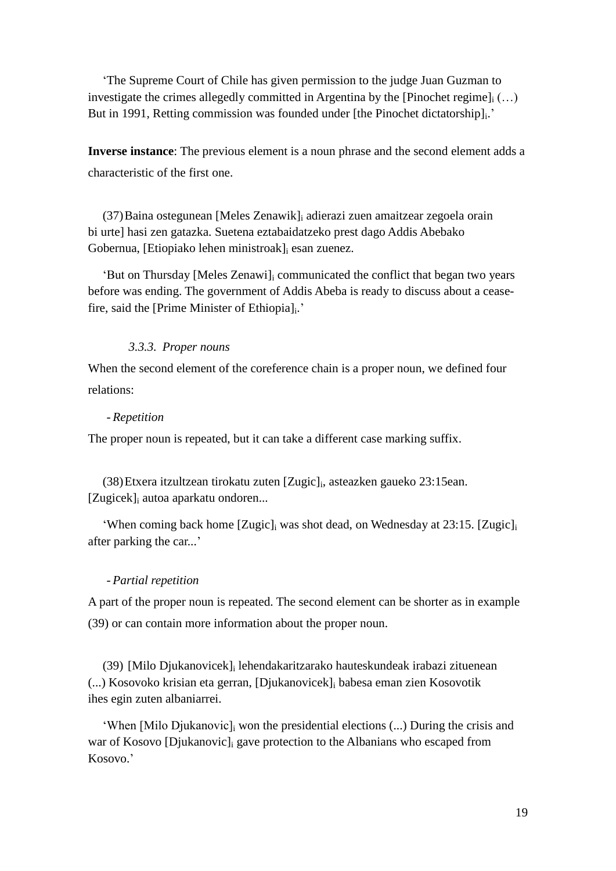'The Supreme Court of Chile has given permission to the judge Juan Guzman to investigate the crimes allegedly committed in Argentina by the [Pinochet regime] $_{i}$  (...) But in 1991, Retting commission was founded under [the Pinochet dictatorship]<sub>i</sub>.'

**Inverse instance**: The previous element is a noun phrase and the second element adds a characteristic of the first one.

(37)Baina ostegunean [Meles Zenawik]<sup>i</sup> adierazi zuen amaitzear zegoela orain bi urte] hasi zen gatazka. Suetena eztabaidatzeko prest dago Addis Abebako Gobernua, [Etiopiako lehen ministroak]<sup>i</sup> esan zuenez.

'But on Thursday [Meles Zenawi]<sup>i</sup> communicated the conflict that began two years before was ending. The government of Addis Abeba is ready to discuss about a ceasefire, said the [Prime Minister of Ethiopia]<sub>i</sub>.'

# *3.3.3. Proper nouns*

When the second element of the coreference chain is a proper noun, we defined four relations:

# - *Repetition*

The proper noun is repeated, but it can take a different case marking suffix.

(38)Etxera itzultzean tirokatu zuten [Zugic]<sup>i</sup> , asteazken gaueko 23:15ean. [Zugicek]<sup>i</sup> autoa aparkatu ondoren...

'When coming back home [Zugic]<sup>i</sup> was shot dead, on Wednesday at 23:15. [Zugic]<sup>i</sup> after parking the car...'

# - *Partial repetition*

A part of the proper noun is repeated. The second element can be shorter as in example (39) or can contain more information about the proper noun.

(39) [Milo Djukanovicek]<sup>i</sup> lehendakaritzarako hauteskundeak irabazi zituenean (...) Kosovoko krisian eta gerran, [Djukanovicek]<sup>i</sup> babesa eman zien Kosovotik ihes egin zuten albaniarrei.

'When [Milo Djukanovic]<sup>i</sup> won the presidential elections (...) During the crisis and war of Kosovo [Djukanovic]<sup>i</sup> gave protection to the Albanians who escaped from Kosovo.'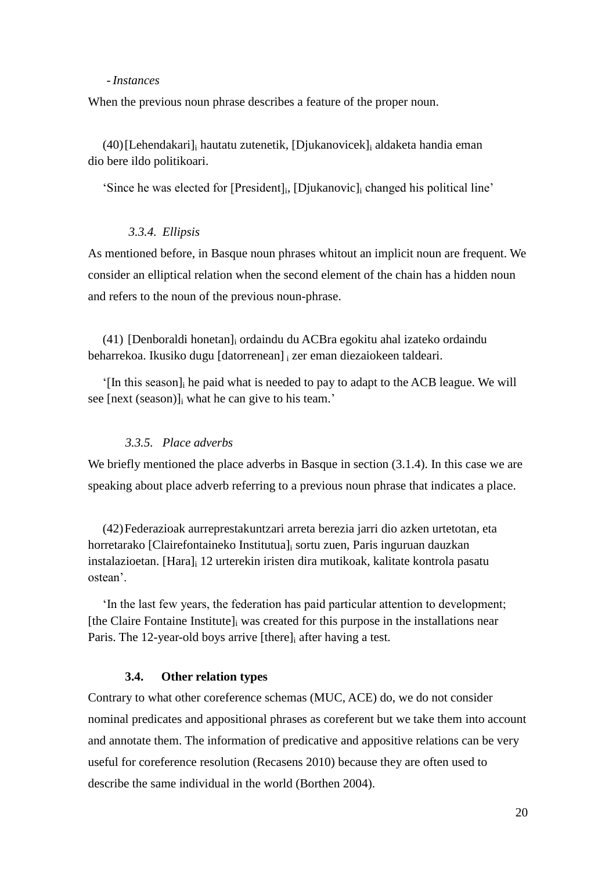#### - *Instances*

When the previous noun phrase describes a feature of the proper noun.

(40)[Lehendakari]<sup>i</sup> hautatu zutenetik, [Djukanovicek]<sup>i</sup> aldaketa handia eman dio bere ildo politikoari.

'Since he was elected for [President]<sup>i</sup> , [Djukanovic]<sup>i</sup> changed his political line'

# *3.3.4. Ellipsis*

As mentioned before, in Basque noun phrases whitout an implicit noun are frequent. We consider an elliptical relation when the second element of the chain has a hidden noun and refers to the noun of the previous noun-phrase.

(41) [Denboraldi honetan]<sup>i</sup> ordaindu du ACBra egokitu ahal izateko ordaindu beharrekoa. Ikusiko dugu [datorrenean] <sup>i</sup> zer eman diezaiokeen taldeari.

'[In this season]<sup>i</sup> he paid what is needed to pay to adapt to the ACB league. We will see [next (season)]<sup>i</sup> what he can give to his team.'

### *3.3.5. Place adverbs*

We briefly mentioned the place adverbs in Basque in section  $(3.1.4)$ . In this case we are speaking about place adverb referring to a previous noun phrase that indicates a place.

(42)Federazioak aurreprestakuntzari arreta berezia jarri dio azken urtetotan, eta horretarako [Clairefontaineko Institutua]<sup>i</sup> sortu zuen, Paris inguruan dauzkan instalazioetan. [Hara]<sup>i</sup> 12 urterekin iristen dira mutikoak, kalitate kontrola pasatu ostean'.

'In the last few years, the federation has paid particular attention to development; [the Claire Fontaine Institute] $\frac{1}{1}$  was created for this purpose in the installations near Paris. The 12-year-old boys arrive [there] after having a test.

### **3.4. Other relation types**

Contrary to what other coreference schemas (MUC, ACE) do, we do not consider nominal predicates and appositional phrases as coreferent but we take them into account and annotate them. The information of predicative and appositive relations can be very useful for coreference resolution (Recasens 2010) because they are often used to describe the same individual in the world (Borthen 2004).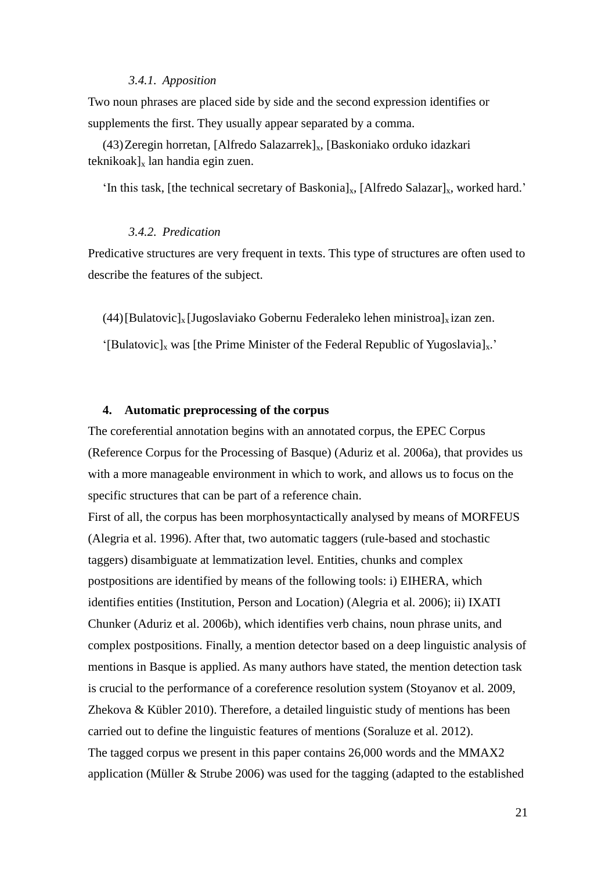### *3.4.1. Apposition*

Two noun phrases are placed side by side and the second expression identifies or supplements the first. They usually appear separated by a comma.

(43) Zeregin horretan, [Alfredo Salazarrek]<sub>x</sub>, [Baskoniako orduko idazkari  $teknikoak]_x$  lan handia egin zuen.

'In this task, [the technical secretary of Baskonia]<sub>x</sub>, [Alfredo Salazar]<sub>x</sub>, worked hard.'

# *3.4.2. Predication*

Predicative structures are very frequent in texts. This type of structures are often used to describe the features of the subject.

(44)[Bulatovic]<sub>x</sub> [Jugoslaviako Gobernu Federaleko lehen ministroa]<sub>x</sub> izan zen.

'[Bulatovic]<sub>x</sub> was [the Prime Minister of the Federal Republic of Yugoslavia]<sub>x</sub>.'

### **4. Automatic preprocessing of the corpus**

The coreferential annotation begins with an annotated corpus, the EPEC Corpus (Reference Corpus for the Processing of Basque) (Aduriz et al. 2006a), that provides us with a more manageable environment in which to work, and allows us to focus on the specific structures that can be part of a reference chain.

First of all, the corpus has been morphosyntactically analysed by means of MORFEUS (Alegria et al. 1996). After that, two automatic taggers (rule-based and stochastic taggers) disambiguate at lemmatization level. Entities, chunks and complex postpositions are identified by means of the following tools: i) EIHERA, which identifies entities (Institution, Person and Location) (Alegria et al. 2006); ii) IXATI Chunker (Aduriz et al. 2006b), which identifies verb chains, noun phrase units, and complex postpositions. Finally, a mention detector based on a deep linguistic analysis of mentions in Basque is applied. As many authors have stated, the mention detection task is crucial to the performance of a coreference resolution system (Stoyanov et al. 2009, Zhekova & Kübler 2010). Therefore, a detailed linguistic study of mentions has been carried out to define the linguistic features of mentions (Soraluze et al. 2012). The tagged corpus we present in this paper contains 26,000 words and the MMAX2 application (Müller & Strube 2006) was used for the tagging (adapted to the established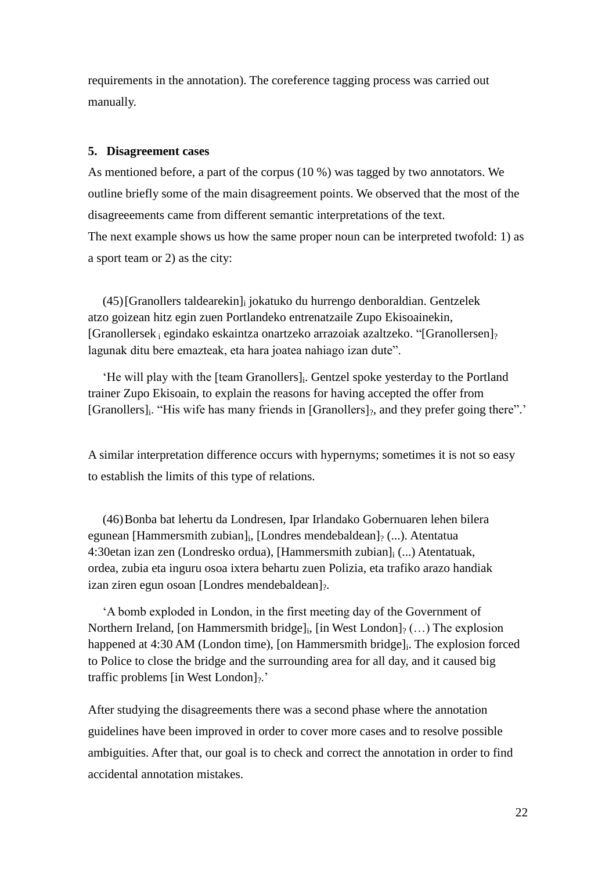requirements in the annotation). The coreference tagging process was carried out manually.

### **5. Disagreement cases**

As mentioned before, a part of the corpus (10 %) was tagged by two annotators. We outline briefly some of the main disagreement points. We observed that the most of the disagreeements came from different semantic interpretations of the text. The next example shows us how the same proper noun can be interpreted twofold: 1) as a sport team or 2) as the city:

(45)[Granollers taldearekin]<sup>i</sup> jokatuko du hurrengo denboraldian. Gentzelek atzo goizean hitz egin zuen Portlandeko entrenatzaile Zupo Ekisoainekin,  $[Granollersek<sub>i</sub> egindako eskaintza onartzeko arrazoiak azaltzeko. "[Granollersen]<sub>2</sub>$ lagunak ditu bere emazteak, eta hara joatea nahiago izan dute".

'He will play with the [team Granollers]<sup>i</sup> . Gentzel spoke yesterday to the Portland trainer Zupo Ekisoain, to explain the reasons for having accepted the offer from [Granollers]<sub>i</sub>. "His wife has many friends in [Granollers]<sub>?</sub>, and they prefer going there".'

A similar interpretation difference occurs with hypernyms; sometimes it is not so easy to establish the limits of this type of relations.

(46)Bonba bat lehertu da Londresen, Ipar Irlandako Gobernuaren lehen bilera egunean [Hammersmith zubian]<sup>i</sup> , [Londres mendebaldean]? (...). Atentatua 4:30etan izan zen (Londresko ordua), [Hammersmith zubian]<sup>i</sup> (...) Atentatuak, ordea, zubia eta inguru osoa ixtera behartu zuen Polizia, eta trafiko arazo handiak izan ziren egun osoan [Londres mendebaldean]?.

'A bomb exploded in London, in the first meeting day of the Government of Northern Ireland, [on Hammersmith bridge]<sub>i</sub>, [in West London]<sub>?</sub> (...) The explosion happened at 4:30 AM (London time), [on Hammersmith bridge]<sub>i</sub>. The explosion forced to Police to close the bridge and the surrounding area for all day, and it caused big traffic problems [in West London] $\frac{1}{2}$ .

After studying the disagreements there was a second phase where the annotation guidelines have been improved in order to cover more cases and to resolve possible ambiguities. After that, our goal is to check and correct the annotation in order to find accidental annotation mistakes.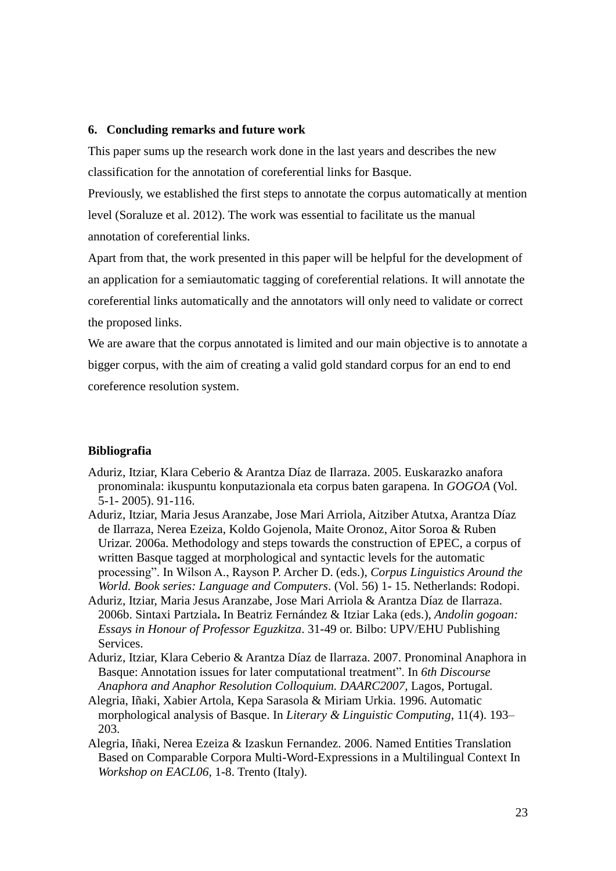### **6. Concluding remarks and future work**

This paper sums up the research work done in the last years and describes the new classification for the annotation of coreferential links for Basque.

Previously, we established the first steps to annotate the corpus automatically at mention level (Soraluze et al. 2012). The work was essential to facilitate us the manual annotation of coreferential links.

Apart from that, the work presented in this paper will be helpful for the development of an application for a semiautomatic tagging of coreferential relations. It will annotate the coreferential links automatically and the annotators will only need to validate or correct the proposed links.

We are aware that the corpus annotated is limited and our main objective is to annotate a bigger corpus, with the aim of creating a valid gold standard corpus for an end to end coreference resolution system.

# **Bibliografia**

- Aduriz, Itziar, Klara Ceberio & Arantza Díaz de Ilarraza. 2005. Euskarazko anafora pronominala: ikuspuntu konputazionala eta corpus baten garapena. In *GOGOA* (Vol. 5-1- 2005). 91-116.
- Aduriz, Itziar, Maria Jesus Aranzabe, Jose Mari Arriola, Aitziber Atutxa, Arantza Díaz de Ilarraza, Nerea Ezeiza, Koldo Gojenola, Maite Oronoz, Aitor Soroa & Ruben Urizar. 2006a. Methodology and steps towards the construction of EPEC, a corpus of written Basque tagged at morphological and syntactic levels for the automatic processing". In Wilson A., Rayson P. Archer D. (eds.), *Corpus Linguistics Around the World. Book series: Language and Computers*. (Vol. 56) 1- 15. Netherlands: Rodopi.
- Aduriz, Itziar, Maria Jesus Aranzabe, Jose Mari Arriola & Arantza Díaz de Ilarraza. 2006b. Sintaxi Partziala**.** In Beatriz Fernández & Itziar Laka (eds.)*, Andolin gogoan: Essays in Honour of Professor Eguzkitza*. 31-49 or. Bilbo: UPV/EHU Publishing Services.
- Aduriz, Itziar, Klara Ceberio & Arantza Díaz de Ilarraza. 2007. Pronominal Anaphora in Basque: Annotation issues for later computational treatment". In *6th Discourse Anaphora and Anaphor Resolution Colloquium. DAARC2007,* Lagos, Portugal.
- Alegria, Iñaki, Xabier Artola, Kepa Sarasola & Miriam Urkia. 1996. Automatic morphological analysis of Basque. In *Literary & Linguistic Computing*, 11(4). 193– 203.
- Alegria, Iñaki, Nerea Ezeiza & Izaskun Fernandez. 2006. Named Entities Translation Based on Comparable Corpora Multi-Word-Expressions in a Multilingual Context In *Workshop on EACL06,* 1-8. Trento (Italy).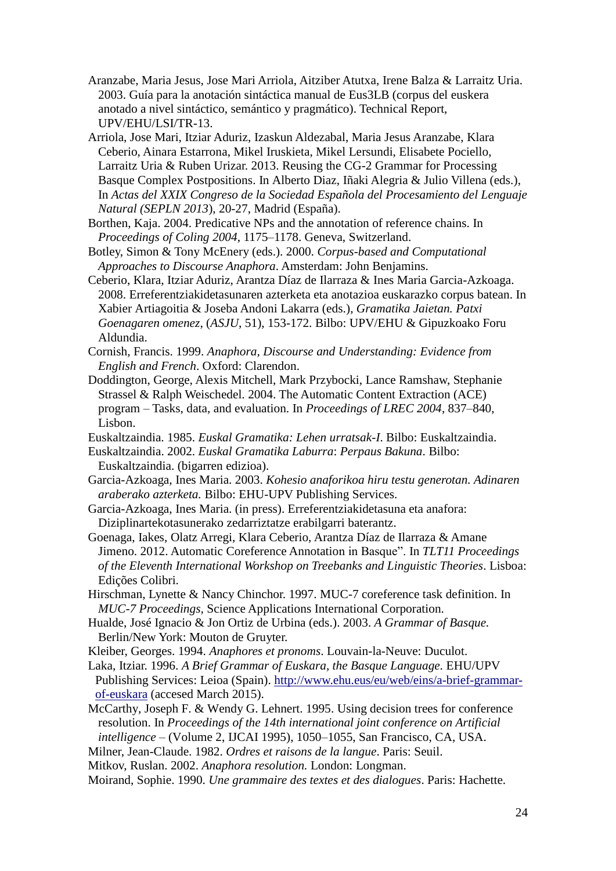- Aranzabe, Maria Jesus, Jose Mari Arriola, Aitziber Atutxa, Irene Balza & Larraitz Uria. 2003. Guía para la anotación sintáctica manual de Eus3LB (corpus del euskera anotado a nivel sintáctico, semántico y pragmático). Technical Report, UPV/EHU/LSI/TR-13.
- Arriola, Jose Mari, Itziar Aduriz, Izaskun Aldezabal, Maria Jesus Aranzabe, Klara Ceberio, Ainara Estarrona, Mikel Iruskieta, Mikel Lersundi, Elisabete Pociello, Larraitz Uria & Ruben Urizar. 2013. Reusing the CG-2 Grammar for Processing Basque Complex Postpositions. In Alberto Diaz, Iñaki Alegria & Julio Villena (eds.), In *Actas del XXIX Congreso de la Sociedad Española del Procesamiento del Lenguaje Natural (SEPLN 2013*), 20-27, Madrid (España).
- Borthen, Kaja. 2004. Predicative NPs and the annotation of reference chains. In *Proceedings of Coling 2004*, 1175–1178. Geneva, Switzerland.
- Botley, Simon & Tony McEnery (eds.). 2000. *Corpus-based and Computational Approaches to Discourse Anaphora*. Amsterdam: John Benjamins.
- Ceberio, Klara, Itziar Aduriz, Arantza Díaz de Ilarraza & Ines Maria Garcia-Azkoaga. 2008. Erreferentziakidetasunaren azterketa eta anotazioa euskarazko corpus batean. In Xabier Artiagoitia & Joseba Andoni Lakarra (eds.), *Gramatika Jaietan. Patxi Goenagaren omenez*, (*ASJU*, 51), 153-172. Bilbo: UPV/EHU & Gipuzkoako Foru Aldundia.
- Cornish, Francis. 1999. *Anaphora, Discourse and Understanding: Evidence from English and French*. Oxford: Clarendon.
- Doddington, George, Alexis Mitchell, Mark Przybocki, Lance Ramshaw, Stephanie Strassel & Ralph Weischedel. 2004. The Automatic Content Extraction (ACE) program – Tasks, data, and evaluation. In *Proceedings of LREC 2004*, 837–840, Lisbon.
- Euskaltzaindia. 1985. *Euskal Gramatika: Lehen urratsak-I*. Bilbo: Euskaltzaindia.
- Euskaltzaindia. 2002. *Euskal Gramatika Laburra*: *Perpaus Bakuna*. Bilbo: Euskaltzaindia. (bigarren edizioa).
- Garcia-Azkoaga, Ines Maria. 2003. *Kohesio anaforikoa hiru testu generotan. Adinaren araberako azterketa.* Bilbo: EHU-UPV Publishing Services.
- Garcia-Azkoaga, Ines Maria. (in press). Erreferentziakidetasuna eta anafora: Diziplinartekotasunerako zedarriztatze erabilgarri baterantz.
- Goenaga, Iakes, Olatz Arregi, Klara Ceberio, Arantza Díaz de Ilarraza & Amane Jimeno. 2012. Automatic Coreference Annotation in Basque". In *TLT11 Proceedings of the Eleventh International Workshop on Treebanks and Linguistic Theories*. Lisboa: Edições Colibri.
- Hirschman, Lynette & Nancy Chinchor. 1997. MUC-7 coreference task definition. In *MUC-7 Proceedings,* Science Applications International Corporation.
- Hualde, José Ignacio & Jon Ortiz de Urbina (eds.). 2003. *A Grammar of Basque.* Berlin/New York: Mouton de Gruyter.
- Kleiber, Georges. 1994. *Anaphores et pronoms*. Louvain-la-Neuve: Duculot.
- Laka, Itziar. 1996. *A Brief Grammar of Euskara, the Basque Language.* EHU/UPV Publishing Services: Leioa (Spain). [http://www.ehu.eus/eu/web/eins/a-brief-grammar](http://www.ehu.eus/eu/web/eins/a-brief-grammar-of-euskara)[of-euskara](http://www.ehu.eus/eu/web/eins/a-brief-grammar-of-euskara) (accesed March 2015).
- McCarthy, Joseph F. & Wendy G. Lehnert. 1995. Using decision trees for conference resolution. In *Proceedings of the 14th international joint conference on Artificial intelligence* – (Volume 2, IJCAI 1995), 1050–1055, San Francisco, CA, USA.
- Milner, Jean-Claude. 1982. *Ordres et raisons de la langue*. Paris: Seuil.
- Mitkov, Ruslan. 2002. *Anaphora resolution.* London: Longman.
- Moirand, Sophie. 1990. *Une grammaire des textes et des dialogues*. Paris: Hachette.